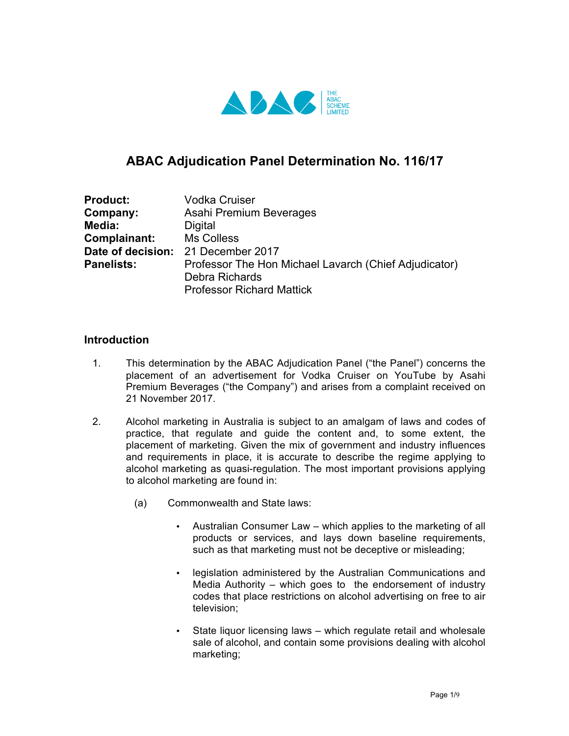

# **ABAC Adjudication Panel Determination No. 116/17**

| <b>Product:</b> | <b>Vodka Cruiser</b>                                  |
|-----------------|-------------------------------------------------------|
| Company:        | Asahi Premium Beverages                               |
| Media:          | Digital                                               |
| Complainant:    | Ms Colless                                            |
|                 | Date of decision: 21 December 2017                    |
| Panelists:      | Professor The Hon Michael Lavarch (Chief Adjudicator) |
|                 | Debra Richards                                        |
|                 | <b>Professor Richard Mattick</b>                      |

### **Introduction**

- 1. This determination by the ABAC Adjudication Panel ("the Panel") concerns the placement of an advertisement for Vodka Cruiser on YouTube by Asahi Premium Beverages ("the Company") and arises from a complaint received on 21 November 2017.
- 2. Alcohol marketing in Australia is subject to an amalgam of laws and codes of practice, that regulate and guide the content and, to some extent, the placement of marketing. Given the mix of government and industry influences and requirements in place, it is accurate to describe the regime applying to alcohol marketing as quasi-regulation. The most important provisions applying to alcohol marketing are found in:
	- (a) Commonwealth and State laws:
		- Australian Consumer Law which applies to the marketing of all products or services, and lays down baseline requirements, such as that marketing must not be deceptive or misleading;
		- legislation administered by the Australian Communications and Media Authority – which goes to the endorsement of industry codes that place restrictions on alcohol advertising on free to air television;
		- State liquor licensing laws which regulate retail and wholesale sale of alcohol, and contain some provisions dealing with alcohol marketing;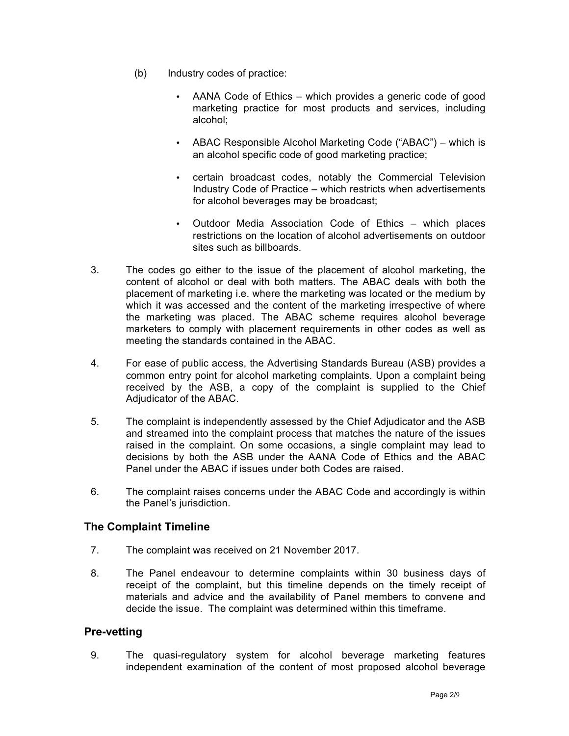- (b) Industry codes of practice:
	- AANA Code of Ethics which provides a generic code of good marketing practice for most products and services, including alcohol;
	- ABAC Responsible Alcohol Marketing Code ("ABAC") which is an alcohol specific code of good marketing practice;
	- certain broadcast codes, notably the Commercial Television Industry Code of Practice – which restricts when advertisements for alcohol beverages may be broadcast;
	- Outdoor Media Association Code of Ethics which places restrictions on the location of alcohol advertisements on outdoor sites such as billboards.
- 3. The codes go either to the issue of the placement of alcohol marketing, the content of alcohol or deal with both matters. The ABAC deals with both the placement of marketing i.e. where the marketing was located or the medium by which it was accessed and the content of the marketing irrespective of where the marketing was placed. The ABAC scheme requires alcohol beverage marketers to comply with placement requirements in other codes as well as meeting the standards contained in the ABAC.
- 4. For ease of public access, the Advertising Standards Bureau (ASB) provides a common entry point for alcohol marketing complaints. Upon a complaint being received by the ASB, a copy of the complaint is supplied to the Chief Adjudicator of the ABAC.
- 5. The complaint is independently assessed by the Chief Adjudicator and the ASB and streamed into the complaint process that matches the nature of the issues raised in the complaint. On some occasions, a single complaint may lead to decisions by both the ASB under the AANA Code of Ethics and the ABAC Panel under the ABAC if issues under both Codes are raised.
- 6. The complaint raises concerns under the ABAC Code and accordingly is within the Panel's jurisdiction.

# **The Complaint Timeline**

- 7. The complaint was received on 21 November 2017.
- 8. The Panel endeavour to determine complaints within 30 business days of receipt of the complaint, but this timeline depends on the timely receipt of materials and advice and the availability of Panel members to convene and decide the issue. The complaint was determined within this timeframe.

# **Pre-vetting**

9. The quasi-regulatory system for alcohol beverage marketing features independent examination of the content of most proposed alcohol beverage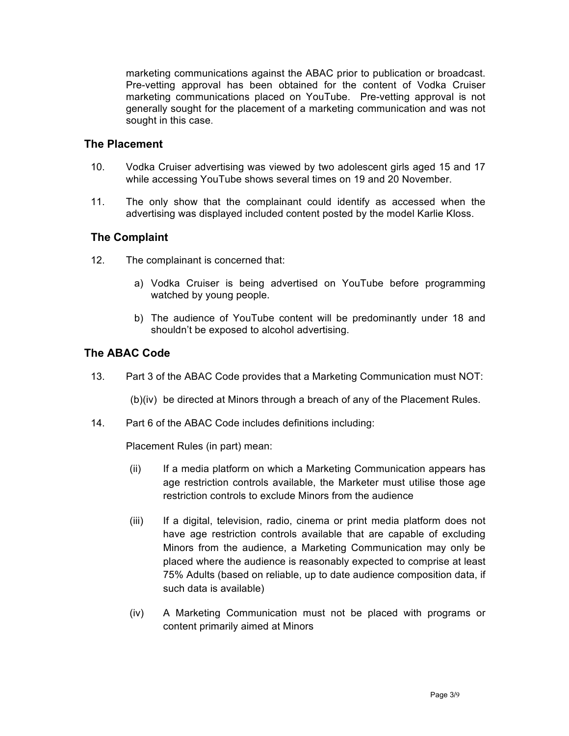marketing communications against the ABAC prior to publication or broadcast. Pre-vetting approval has been obtained for the content of Vodka Cruiser marketing communications placed on YouTube. Pre-vetting approval is not generally sought for the placement of a marketing communication and was not sought in this case.

#### **The Placement**

- 10. Vodka Cruiser advertising was viewed by two adolescent girls aged 15 and 17 while accessing YouTube shows several times on 19 and 20 November.
- 11. The only show that the complainant could identify as accessed when the advertising was displayed included content posted by the model Karlie Kloss.

# **The Complaint**

- 12. The complainant is concerned that:
	- a) Vodka Cruiser is being advertised on YouTube before programming watched by young people.
	- b) The audience of YouTube content will be predominantly under 18 and shouldn't be exposed to alcohol advertising.

# **The ABAC Code**

13. Part 3 of the ABAC Code provides that a Marketing Communication must NOT:

(b)(iv) be directed at Minors through a breach of any of the Placement Rules.

14. Part 6 of the ABAC Code includes definitions including:

Placement Rules (in part) mean:

- (ii) If a media platform on which a Marketing Communication appears has age restriction controls available, the Marketer must utilise those age restriction controls to exclude Minors from the audience
- (iii) If a digital, television, radio, cinema or print media platform does not have age restriction controls available that are capable of excluding Minors from the audience, a Marketing Communication may only be placed where the audience is reasonably expected to comprise at least 75% Adults (based on reliable, up to date audience composition data, if such data is available)
- (iv) A Marketing Communication must not be placed with programs or content primarily aimed at Minors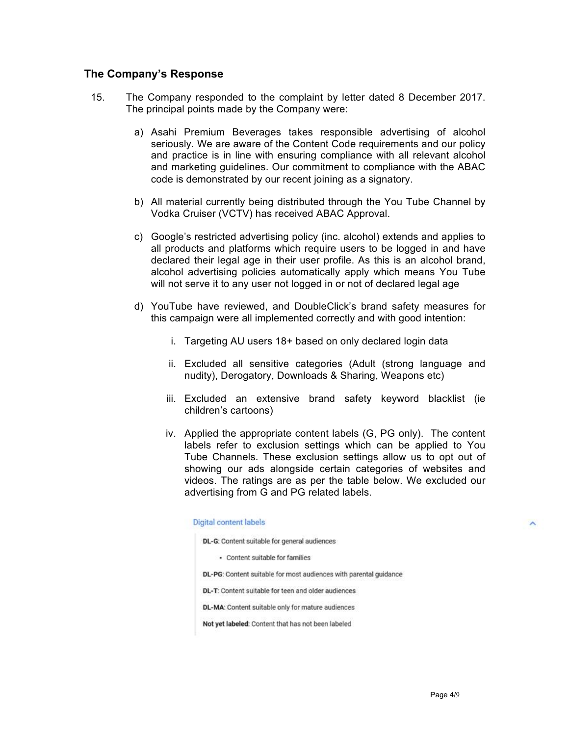#### **The Company's Response**

- 15. The Company responded to the complaint by letter dated 8 December 2017. The principal points made by the Company were:
	- a) Asahi Premium Beverages takes responsible advertising of alcohol seriously. We are aware of the Content Code requirements and our policy and practice is in line with ensuring compliance with all relevant alcohol and marketing guidelines. Our commitment to compliance with the ABAC code is demonstrated by our recent joining as a signatory.
	- b) All material currently being distributed through the You Tube Channel by Vodka Cruiser (VCTV) has received ABAC Approval.
	- c) Google's restricted advertising policy (inc. alcohol) extends and applies to all products and platforms which require users to be logged in and have declared their legal age in their user profile. As this is an alcohol brand, alcohol advertising policies automatically apply which means You Tube will not serve it to any user not logged in or not of declared legal age
	- d) YouTube have reviewed, and DoubleClick's brand safety measures for this campaign were all implemented correctly and with good intention:
		- i. Targeting AU users 18+ based on only declared login data
		- ii. Excluded all sensitive categories (Adult (strong language and nudity), Derogatory, Downloads & Sharing, Weapons etc)
		- iii. Excluded an extensive brand safety keyword blacklist (ie children's cartoons)
		- iv. Applied the appropriate content labels (G, PG only). The content labels refer to exclusion settings which can be applied to You Tube Channels. These exclusion settings allow us to opt out of showing our ads alongside certain categories of websites and videos. The ratings are as per the table below. We excluded our advertising from G and PG related labels.

#### Digital content labels

DL-G: Content suitable for general audiences

- Content suitable for families
- DL-PG: Content suitable for most audiences with parental guidance
- DL-T: Content suitable for teen and older audiences
- DL-MA: Content suitable only for mature audiences

Not yet labeled: Content that has not been labeled

 $\lambda$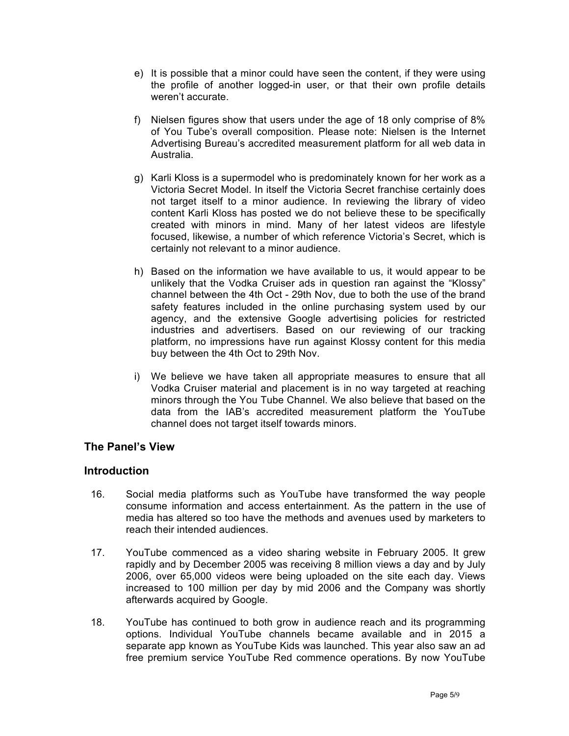- e) It is possible that a minor could have seen the content, if they were using the profile of another logged-in user, or that their own profile details weren't accurate.
- f) Nielsen figures show that users under the age of 18 only comprise of 8% of You Tube's overall composition. Please note: Nielsen is the Internet Advertising Bureau's accredited measurement platform for all web data in Australia.
- g) Karli Kloss is a supermodel who is predominately known for her work as a Victoria Secret Model. In itself the Victoria Secret franchise certainly does not target itself to a minor audience. In reviewing the library of video content Karli Kloss has posted we do not believe these to be specifically created with minors in mind. Many of her latest videos are lifestyle focused, likewise, a number of which reference Victoria's Secret, which is certainly not relevant to a minor audience.
- h) Based on the information we have available to us, it would appear to be unlikely that the Vodka Cruiser ads in question ran against the "Klossy" channel between the 4th Oct - 29th Nov, due to both the use of the brand safety features included in the online purchasing system used by our agency, and the extensive Google advertising policies for restricted industries and advertisers. Based on our reviewing of our tracking platform, no impressions have run against Klossy content for this media buy between the 4th Oct to 29th Nov.
- i) We believe we have taken all appropriate measures to ensure that all Vodka Cruiser material and placement is in no way targeted at reaching minors through the You Tube Channel. We also believe that based on the data from the IAB's accredited measurement platform the YouTube channel does not target itself towards minors.

# **The Panel's View**

#### **Introduction**

- 16. Social media platforms such as YouTube have transformed the way people consume information and access entertainment. As the pattern in the use of media has altered so too have the methods and avenues used by marketers to reach their intended audiences.
- 17. YouTube commenced as a video sharing website in February 2005. It grew rapidly and by December 2005 was receiving 8 million views a day and by July 2006, over 65,000 videos were being uploaded on the site each day. Views increased to 100 million per day by mid 2006 and the Company was shortly afterwards acquired by Google.
- 18. YouTube has continued to both grow in audience reach and its programming options. Individual YouTube channels became available and in 2015 a separate app known as YouTube Kids was launched. This year also saw an ad free premium service YouTube Red commence operations. By now YouTube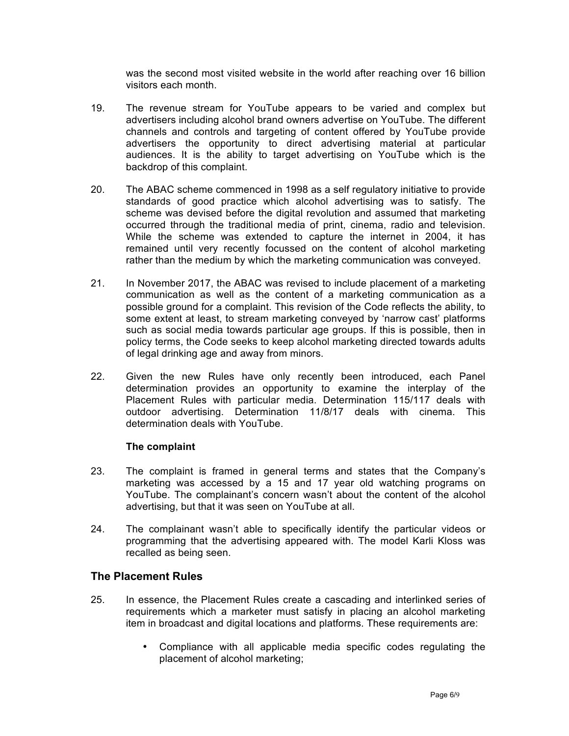was the second most visited website in the world after reaching over 16 billion visitors each month.

- 19. The revenue stream for YouTube appears to be varied and complex but advertisers including alcohol brand owners advertise on YouTube. The different channels and controls and targeting of content offered by YouTube provide advertisers the opportunity to direct advertising material at particular audiences. It is the ability to target advertising on YouTube which is the backdrop of this complaint.
- 20. The ABAC scheme commenced in 1998 as a self regulatory initiative to provide standards of good practice which alcohol advertising was to satisfy. The scheme was devised before the digital revolution and assumed that marketing occurred through the traditional media of print, cinema, radio and television. While the scheme was extended to capture the internet in 2004, it has remained until very recently focussed on the content of alcohol marketing rather than the medium by which the marketing communication was conveyed.
- 21. In November 2017, the ABAC was revised to include placement of a marketing communication as well as the content of a marketing communication as a possible ground for a complaint. This revision of the Code reflects the ability, to some extent at least, to stream marketing conveyed by 'narrow cast' platforms such as social media towards particular age groups. If this is possible, then in policy terms, the Code seeks to keep alcohol marketing directed towards adults of legal drinking age and away from minors.
- 22. Given the new Rules have only recently been introduced, each Panel determination provides an opportunity to examine the interplay of the Placement Rules with particular media. Determination 115/117 deals with outdoor advertising. Determination 11/8/17 deals with cinema. This determination deals with YouTube.

#### **The complaint**

- 23. The complaint is framed in general terms and states that the Company's marketing was accessed by a 15 and 17 year old watching programs on YouTube. The complainant's concern wasn't about the content of the alcohol advertising, but that it was seen on YouTube at all.
- 24. The complainant wasn't able to specifically identify the particular videos or programming that the advertising appeared with. The model Karli Kloss was recalled as being seen.

#### **The Placement Rules**

- 25. In essence, the Placement Rules create a cascading and interlinked series of requirements which a marketer must satisfy in placing an alcohol marketing item in broadcast and digital locations and platforms. These requirements are:
	- Compliance with all applicable media specific codes regulating the placement of alcohol marketing;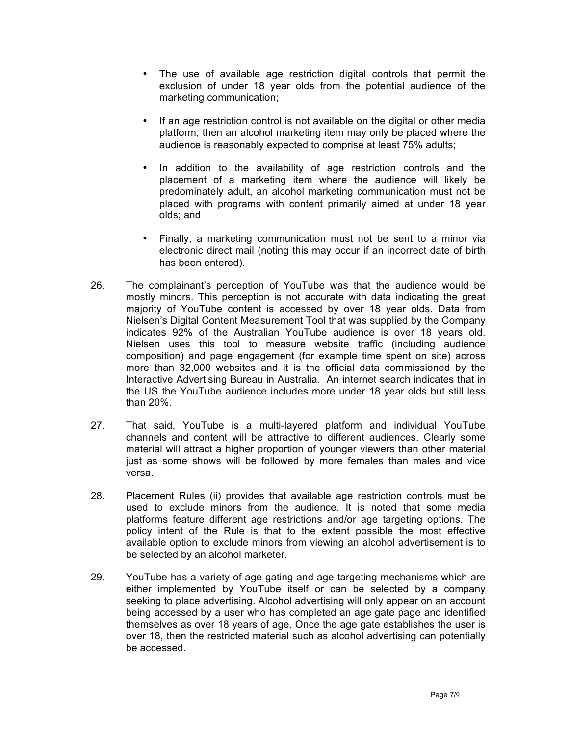- The use of available age restriction digital controls that permit the exclusion of under 18 year olds from the potential audience of the marketing communication;
- If an age restriction control is not available on the digital or other media platform, then an alcohol marketing item may only be placed where the audience is reasonably expected to comprise at least 75% adults;
- In addition to the availability of age restriction controls and the placement of a marketing item where the audience will likely be predominately adult, an alcohol marketing communication must not be placed with programs with content primarily aimed at under 18 year olds; and
- Finally, a marketing communication must not be sent to a minor via electronic direct mail (noting this may occur if an incorrect date of birth has been entered).
- 26. The complainant's perception of YouTube was that the audience would be mostly minors. This perception is not accurate with data indicating the great majority of YouTube content is accessed by over 18 year olds. Data from Nielsen's Digital Content Measurement Tool that was supplied by the Company indicates 92% of the Australian YouTube audience is over 18 years old. Nielsen uses this tool to measure website traffic (including audience composition) and page engagement (for example time spent on site) across more than 32,000 websites and it is the official data commissioned by the Interactive Advertising Bureau in Australia. An internet search indicates that in the US the YouTube audience includes more under 18 year olds but still less than 20%.
- 27. That said, YouTube is a multi-layered platform and individual YouTube channels and content will be attractive to different audiences. Clearly some material will attract a higher proportion of younger viewers than other material just as some shows will be followed by more females than males and vice versa.
- 28. Placement Rules (ii) provides that available age restriction controls must be used to exclude minors from the audience. It is noted that some media platforms feature different age restrictions and/or age targeting options. The policy intent of the Rule is that to the extent possible the most effective available option to exclude minors from viewing an alcohol advertisement is to be selected by an alcohol marketer.
- 29. YouTube has a variety of age gating and age targeting mechanisms which are either implemented by YouTube itself or can be selected by a company seeking to place advertising. Alcohol advertising will only appear on an account being accessed by a user who has completed an age gate page and identified themselves as over 18 years of age. Once the age gate establishes the user is over 18, then the restricted material such as alcohol advertising can potentially be accessed.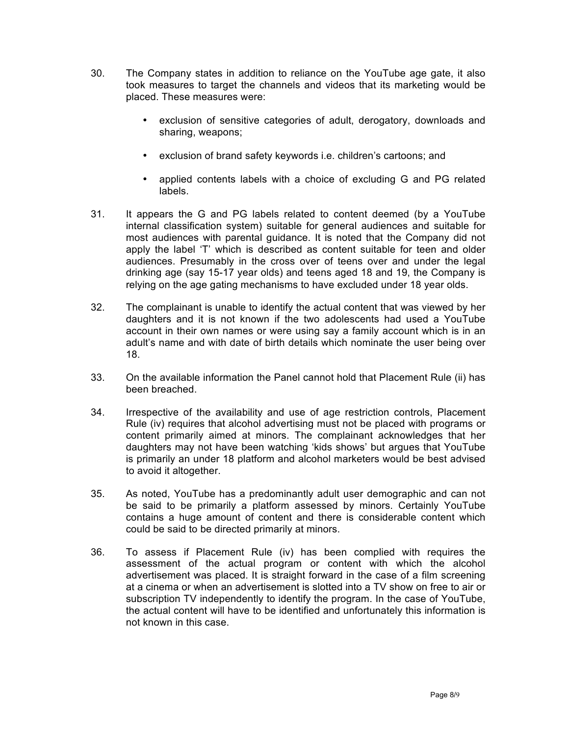- 30. The Company states in addition to reliance on the YouTube age gate, it also took measures to target the channels and videos that its marketing would be placed. These measures were:
	- exclusion of sensitive categories of adult, derogatory, downloads and sharing, weapons;
	- exclusion of brand safety keywords i.e. children's cartoons; and
	- applied contents labels with a choice of excluding G and PG related labels.
- 31. It appears the G and PG labels related to content deemed (by a YouTube internal classification system) suitable for general audiences and suitable for most audiences with parental guidance. It is noted that the Company did not apply the label 'T' which is described as content suitable for teen and older audiences. Presumably in the cross over of teens over and under the legal drinking age (say 15-17 year olds) and teens aged 18 and 19, the Company is relying on the age gating mechanisms to have excluded under 18 year olds.
- 32. The complainant is unable to identify the actual content that was viewed by her daughters and it is not known if the two adolescents had used a YouTube account in their own names or were using say a family account which is in an adult's name and with date of birth details which nominate the user being over 18.
- 33. On the available information the Panel cannot hold that Placement Rule (ii) has been breached.
- 34. Irrespective of the availability and use of age restriction controls, Placement Rule (iv) requires that alcohol advertising must not be placed with programs or content primarily aimed at minors. The complainant acknowledges that her daughters may not have been watching 'kids shows' but argues that YouTube is primarily an under 18 platform and alcohol marketers would be best advised to avoid it altogether.
- 35. As noted, YouTube has a predominantly adult user demographic and can not be said to be primarily a platform assessed by minors. Certainly YouTube contains a huge amount of content and there is considerable content which could be said to be directed primarily at minors.
- 36. To assess if Placement Rule (iv) has been complied with requires the assessment of the actual program or content with which the alcohol advertisement was placed. It is straight forward in the case of a film screening at a cinema or when an advertisement is slotted into a TV show on free to air or subscription TV independently to identify the program. In the case of YouTube, the actual content will have to be identified and unfortunately this information is not known in this case.